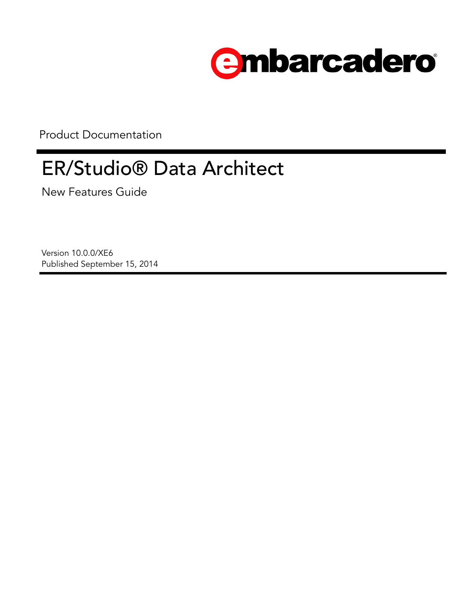

Product Documentation

# ER/Studio® Data Architect

New Features Guide

Version 10.0.0/XE6 Published September 15, 2014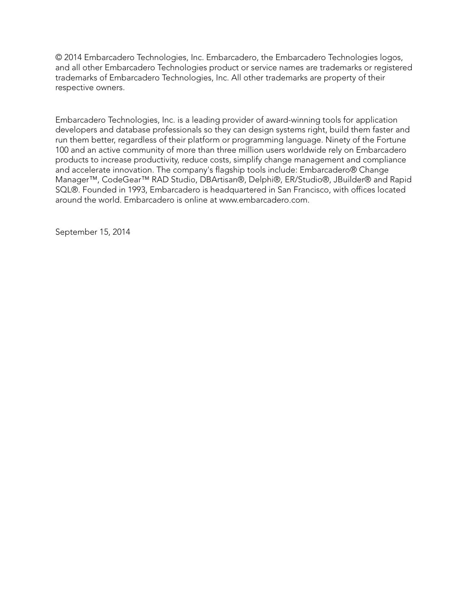© 2014 Embarcadero Technologies, Inc. Embarcadero, the Embarcadero Technologies logos, and all other Embarcadero Technologies product or service names are trademarks or registered trademarks of Embarcadero Technologies, Inc. All other trademarks are property of their respective owners.

Embarcadero Technologies, Inc. is a leading provider of award-winning tools for application developers and database professionals so they can design systems right, build them faster and run them better, regardless of their platform or programming language. Ninety of the Fortune 100 and an active community of more than three million users worldwide rely on Embarcadero products to increase productivity, reduce costs, simplify change management and compliance and accelerate innovation. The company's flagship tools include: Embarcadero® Change Manager™, CodeGear™ RAD Studio, DBArtisan®, Delphi®, ER/Studio®, JBuilder® and Rapid SQL®. Founded in 1993, Embarcadero is headquartered in San Francisco, with offices located around the world. Embarcadero is online at www.embarcadero.com.

September 15, 2014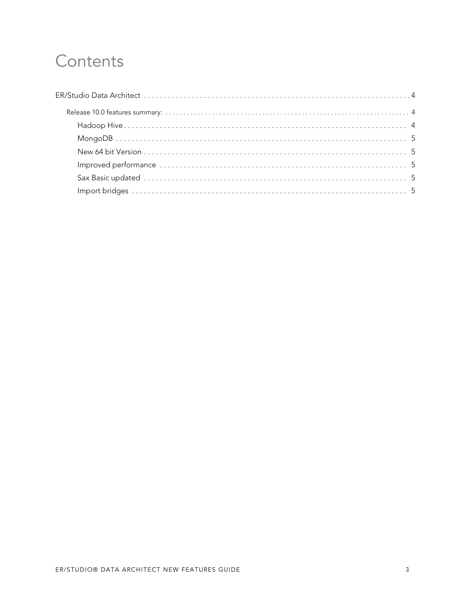## Contents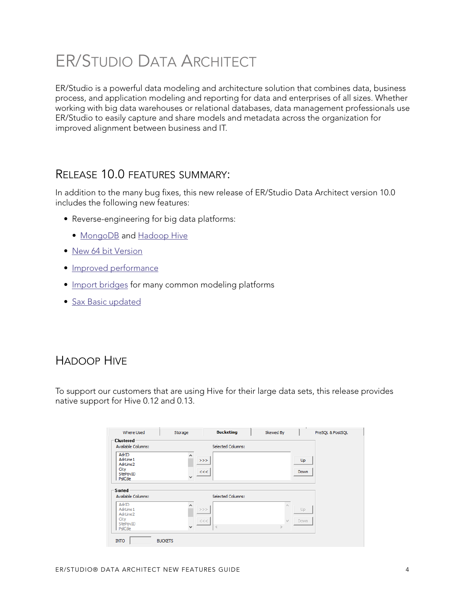## <span id="page-3-0"></span>ER/STUDIO DATA ARCHITECT

ER/Studio is a powerful data modeling and architecture solution that combines data, business process, and application modeling and reporting for data and enterprises of all sizes. Whether working with big data warehouses or relational databases, data management professionals use ER/Studio to easily capture and share models and metadata across the organization for improved alignment between business and IT.

### <span id="page-3-1"></span>RELEASE 10.0 FEATURES SUMMARY:

In addition to the many bug fixes, this new release of ER/Studio Data Architect version 10.0 includes the following new features:

- Reverse-engineering for big data platforms:
	- [MongoDB](#page-4-0) and [Hadoop Hive](#page-3-2)
- [New 64 bit Version](#page-4-1)
- [Improved performance](#page-4-2)
- [Import bridges](#page-4-4) for many common modeling platforms
- [Sax Basic updated](#page-4-3)

## <span id="page-3-2"></span>HADOOP HIVE

To support our customers that are using Hive for their large data sets, this release provides native support for Hive 0.12 and 0.13.

| Clustered<br><b>Available Columns:</b><br><b>Selected Columns:</b><br>AdrID<br>AdrLine 1<br>$>>>$<br>Up<br>AdrLine2<br>City<br><<<br><b>Down</b><br>StePovID<br>w<br>PsiCde<br>Sorted<br><b>Available Columns:</b><br><b>Selected Columns:</b><br>AdrID | PreSQL & PostSQL |
|---------------------------------------------------------------------------------------------------------------------------------------------------------------------------------------------------------------------------------------------------------|------------------|
|                                                                                                                                                                                                                                                         |                  |
|                                                                                                                                                                                                                                                         |                  |
|                                                                                                                                                                                                                                                         |                  |
| $>>>$<br>AdrLine 1<br>Up<br>AdrLine2<br>City<br>$><\,<$<br>Down<br>StePovID<br>$\,<$<br>$\rightarrow$<br>$\checkmark$<br>PslCde                                                                                                                         |                  |